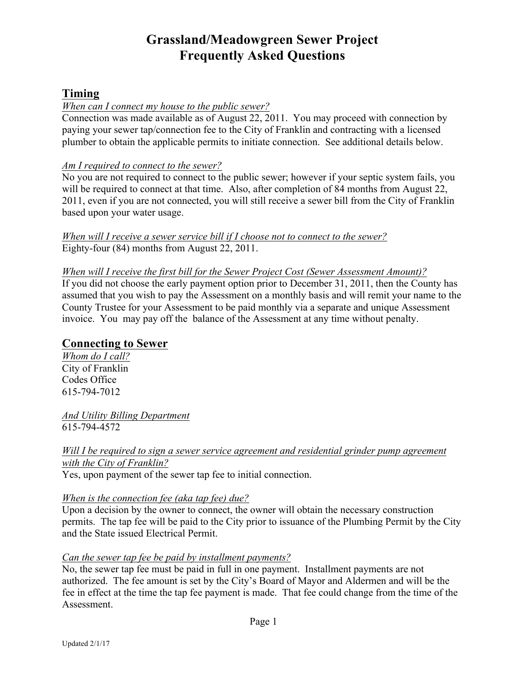# **Grassland/Meadowgreen Sewer Project Frequently Asked Questions**

# **Timing**

#### *When can I connect my house to the public sewer?*

Connection was made available as of August 22, 2011. You may proceed with connection by paying your sewer tap/connection fee to the City of Franklin and contracting with a licensed plumber to obtain the applicable permits to initiate connection. See additional details below.

#### *Am I required to connect to the sewer?*

No you are not required to connect to the public sewer; however if your septic system fails, you will be required to connect at that time. Also, after completion of 84 months from August 22, 2011, even if you are not connected, you will still receive a sewer bill from the City of Franklin based upon your water usage.

*When will I receive a sewer service bill if I choose not to connect to the sewer?* Eighty-four (84) months from August 22, 2011.

#### *When will I receive the first bill for the Sewer Project Cost (Sewer Assessment Amount)?*

If you did not choose the early payment option prior to December 31, 2011, then the County has assumed that you wish to pay the Assessment on a monthly basis and will remit your name to the County Trustee for your Assessment to be paid monthly via a separate and unique Assessment invoice. You may pay off the balance of the Assessment at any time without penalty.

### **Connecting to Sewer**

*Whom do I call?* City of Franklin Codes Office 615-794-7012

*And Utility Billing Department* 615-794-4572

*Will I be required to sign a sewer service agreement and residential grinder pump agreement with the City of Franklin?* Yes, upon payment of the sewer tap fee to initial connection.

#### *When is the connection fee (aka tap fee) due?*

Upon a decision by the owner to connect, the owner will obtain the necessary construction permits. The tap fee will be paid to the City prior to issuance of the Plumbing Permit by the City and the State issued Electrical Permit.

### *Can the sewer tap fee be paid by installment payments?*

No, the sewer tap fee must be paid in full in one payment. Installment payments are not authorized. The fee amount is set by the City's Board of Mayor and Aldermen and will be the fee in effect at the time the tap fee payment is made. That fee could change from the time of the Assessment.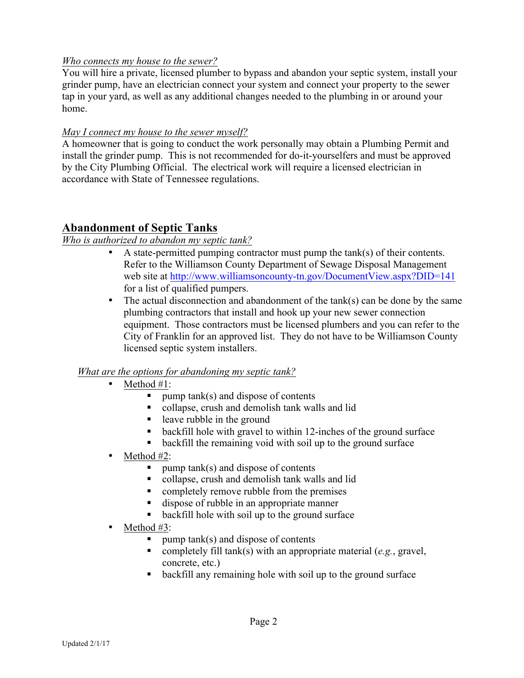#### *Who connects my house to the sewer?*

You will hire a private, licensed plumber to bypass and abandon your septic system, install your grinder pump, have an electrician connect your system and connect your property to the sewer tap in your yard, as well as any additional changes needed to the plumbing in or around your home.

#### *May I connect my house to the sewer myself?*

A homeowner that is going to conduct the work personally may obtain a Plumbing Permit and install the grinder pump. This is not recommended for do-it-yourselfers and must be approved by the City Plumbing Official. The electrical work will require a licensed electrician in accordance with State of Tennessee regulations.

# **Abandonment of Septic Tanks**

### *Who is authorized to abandon my septic tank?*

- A state-permitted pumping contractor must pump the tank(s) of their contents. Refer to the Williamson County Department of Sewage Disposal Management web site at http://www.williamsoncounty-tn.gov/DocumentView.aspx?DID=141 for a list of qualified pumpers.
- The actual disconnection and abandonment of the tank(s) can be done by the same plumbing contractors that install and hook up your new sewer connection equipment. Those contractors must be licensed plumbers and you can refer to the City of Franklin for an approved list. They do not have to be Williamson County licensed septic system installers.

### *What are the options for abandoning my septic tank?*

- Method #1:
	- $\blacksquare$  pump tank(s) and dispose of contents
	- collapse, crush and demolish tank walls and lid
	- leave rubble in the ground
	- backfill hole with gravel to within 12-inches of the ground surface
	- backfill the remaining void with soil up to the ground surface
- Method #2:
	- $\blacksquare$  pump tank(s) and dispose of contents
	- collapse, crush and demolish tank walls and lid
	- completely remove rubble from the premises
	- dispose of rubble in an appropriate manner
	- backfill hole with soil up to the ground surface
- Method  $#3$ :
	- $\blacksquare$  pump tank(s) and dispose of contents
	- completely fill tank(s) with an appropriate material (*e.g.*, gravel, concrete, etc.)
	- backfill any remaining hole with soil up to the ground surface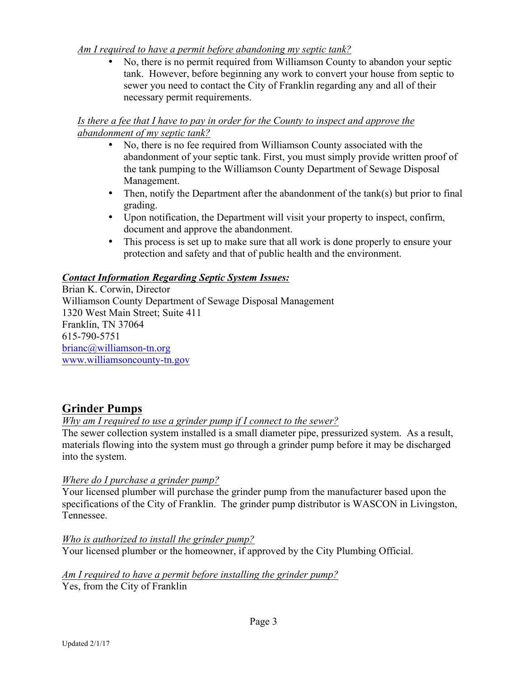#### *Am I required to have a permit before abandoning my septic tank?*

• No, there is no permit required from Williamson County to abandon your septic tank. However, before beginning any work to convert your house from septic to sewer you need to contact the City of Franklin regarding any and all of their necessary permit requirements.

### *Is there a fee that I have to pay in order for the County to inspect and approve the abandonment of my septic tank?*

- No, there is no fee required from Williamson County associated with the abandonment of your septic tank. First, you must simply provide written proof of the tank pumping to the Williamson County Department of Sewage Disposal Management.
- Then, notify the Department after the abandonment of the tank(s) but prior to final grading.
- Upon notification, the Department will visit your property to inspect, confirm, document and approve the abandonment.
- This process is set up to make sure that all work is done properly to ensure your protection and safety and that of public health and the environment.

### *Contact Information Regarding Septic System Issues:*

Brian K. Corwin, Director Williamson County Department of Sewage Disposal Management 1320 West Main Street; Suite 411 Franklin, TN 37064 615-790-5751 brianc@williamson-tn.org www.williamsoncounty-tn.gov

# **Grinder Pumps**

### *Why am I required to use a grinder pump if I connect to the sewer?*

The sewer collection system installed is a small diameter pipe, pressurized system. As a result, materials flowing into the system must go through a grinder pump before it may be discharged into the system.

### *Where do I purchase a grinder pump?*

Your licensed plumber will purchase the grinder pump from the manufacturer based upon the specifications of the City of Franklin. The grinder pump distributor is WASCON in Livingston, Tennessee.

*Who is authorized to install the grinder pump?* Your licensed plumber or the homeowner, if approved by the City Plumbing Official.

*Am I required to have a permit before installing the grinder pump?* Yes, from the City of Franklin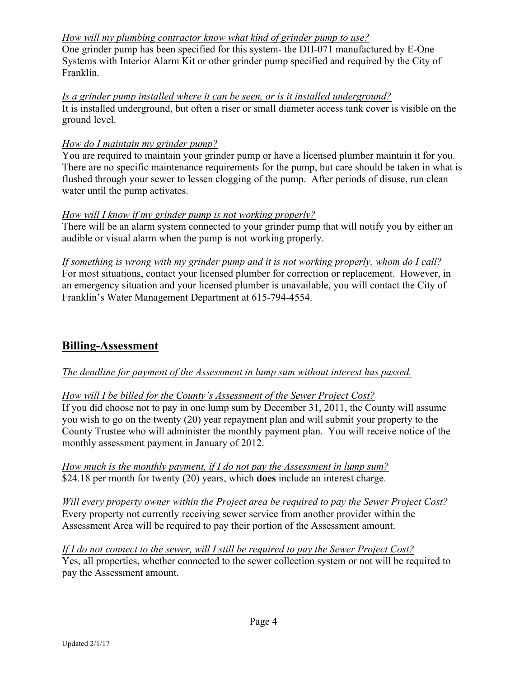### *How will my plumbing contractor know what kind of grinder pump to use?*

One grinder pump has been specified for this system- the DH-071 manufactured by E-One Systems with Interior Alarm Kit or other grinder pump specified and required by the City of Franklin.

*Is a grinder pump installed where it can be seen, or is it installed underground?* It is installed underground, but often a riser or small diameter access tank cover is visible on the ground level.

#### *How do I maintain my grinder pump?*

You are required to maintain your grinder pump or have a licensed plumber maintain it for you. There are no specific maintenance requirements for the pump, but care should be taken in what is flushed through your sewer to lessen clogging of the pump. After periods of disuse, run clean water until the pump activates.

#### *How will I know if my grinder pump is not working properly?*

There will be an alarm system connected to your grinder pump that will notify you by either an audible or visual alarm when the pump is not working properly.

*If something is wrong with my grinder pump and it is not working properly, whom do I call?* For most situations, contact your licensed plumber for correction or replacement. However, in an emergency situation and your licensed plumber is unavailable, you will contact the City of Franklin's Water Management Department at 615-794-4554.

# **Billing-Assessment**

### *The deadline for payment of the Assessment in lump sum without interest has passed.*

*How will I be billed for the County's Assessment of the Sewer Project Cost?*

If you did choose not to pay in one lump sum by December 31, 2011, the County will assume you wish to go on the twenty (20) year repayment plan and will submit your property to the County Trustee who will administer the monthly payment plan. You will receive notice of the monthly assessment payment in January of 2012.

*How much is the monthly payment, if I do not pay the Assessment in lump sum?* \$24.18 per month for twenty (20) years, which **does** include an interest charge.

*Will every property owner within the Project area be required to pay the Sewer Project Cost?* Every property not currently receiving sewer service from another provider within the Assessment Area will be required to pay their portion of the Assessment amount.

*If I do not connect to the sewer, will I still be required to pay the Sewer Project Cost?* Yes, all properties, whether connected to the sewer collection system or not will be required to pay the Assessment amount.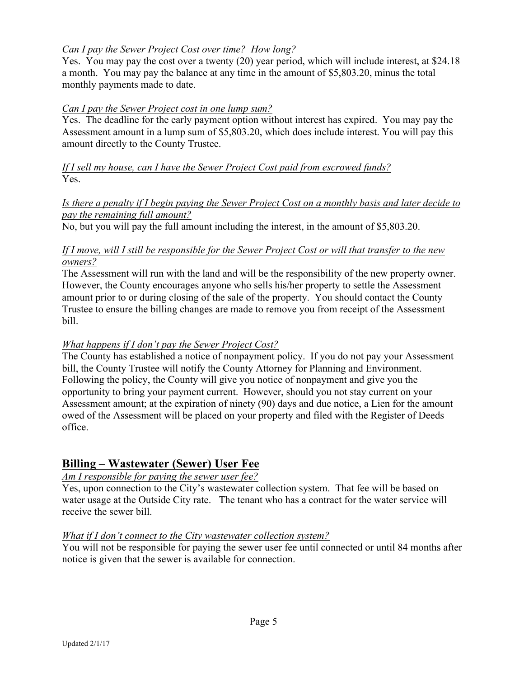### *Can I pay the Sewer Project Cost over time? How long?*

Yes. You may pay the cost over a twenty (20) year period, which will include interest, at \$24.18 a month. You may pay the balance at any time in the amount of \$5,803.20, minus the total monthly payments made to date.

#### *Can I pay the Sewer Project cost in one lump sum?*

Yes. The deadline for the early payment option without interest has expired. You may pay the Assessment amount in a lump sum of \$5,803.20, which does include interest. You will pay this amount directly to the County Trustee.

*If I sell my house, can I have the Sewer Project Cost paid from escrowed funds?* Yes.

#### *Is there a penalty if I begin paying the Sewer Project Cost on a monthly basis and later decide to pay the remaining full amount?*

No, but you will pay the full amount including the interest, in the amount of \$5,803.20.

#### *If I move, will I still be responsible for the Sewer Project Cost or will that transfer to the new owners?*

The Assessment will run with the land and will be the responsibility of the new property owner. However, the County encourages anyone who sells his/her property to settle the Assessment amount prior to or during closing of the sale of the property. You should contact the County Trustee to ensure the billing changes are made to remove you from receipt of the Assessment bill.

#### *What happens if I don't pay the Sewer Project Cost?*

The County has established a notice of nonpayment policy. If you do not pay your Assessment bill, the County Trustee will notify the County Attorney for Planning and Environment. Following the policy, the County will give you notice of nonpayment and give you the opportunity to bring your payment current. However, should you not stay current on your Assessment amount; at the expiration of ninety (90) days and due notice, a Lien for the amount owed of the Assessment will be placed on your property and filed with the Register of Deeds office.

# **Billing – Wastewater (Sewer) User Fee**

### *Am I responsible for paying the sewer user fee?*

Yes, upon connection to the City's wastewater collection system. That fee will be based on water usage at the Outside City rate. The tenant who has a contract for the water service will receive the sewer bill.

#### *What if I don't connect to the City wastewater collection system?*

You will not be responsible for paying the sewer user fee until connected or until 84 months after notice is given that the sewer is available for connection.